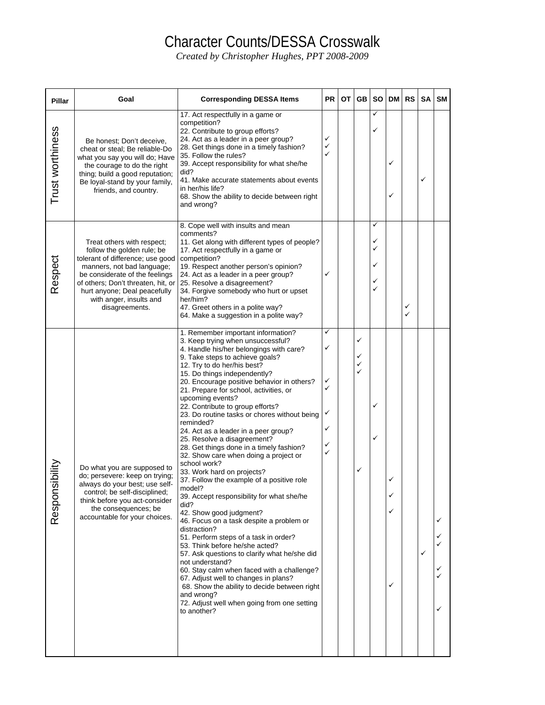## Character Counts/DESSA Crosswalk

*Created by Christopher Hughes, PPT 2008-2009* 

| <b>Pillar</b>      | Goal                                                                                                                                                                                                                                                                            | <b>Corresponding DESSA Items</b>                                                                                                                                                                                                                                                                                                                                                                                                                                                                                                                                                                                                                                                                                                                                                                                                                                                                                                                                                                                                                                                                                                                                                                               | <b>PR</b>                            | ОT | GB                    | <b>SO</b>                  | <b>DM</b>        | <b>RS</b> | SA | <b>SM</b>   |
|--------------------|---------------------------------------------------------------------------------------------------------------------------------------------------------------------------------------------------------------------------------------------------------------------------------|----------------------------------------------------------------------------------------------------------------------------------------------------------------------------------------------------------------------------------------------------------------------------------------------------------------------------------------------------------------------------------------------------------------------------------------------------------------------------------------------------------------------------------------------------------------------------------------------------------------------------------------------------------------------------------------------------------------------------------------------------------------------------------------------------------------------------------------------------------------------------------------------------------------------------------------------------------------------------------------------------------------------------------------------------------------------------------------------------------------------------------------------------------------------------------------------------------------|--------------------------------------|----|-----------------------|----------------------------|------------------|-----------|----|-------------|
| Trust worthiness   | Be honest; Don't deceive,<br>cheat or steal; Be reliable-Do<br>what you say you will do; Have<br>the courage to do the right<br>thing; build a good reputation;<br>Be loyal-stand by your family,<br>friends, and country.                                                      | 17. Act respectfully in a game or<br>competition?<br>22. Contribute to group efforts?<br>24. Act as a leader in a peer group?<br>28. Get things done in a timely fashion?<br>35. Follow the rules?<br>39. Accept responsibility for what she/he<br>did?<br>41. Make accurate statements about events<br>in her/his life?<br>68. Show the ability to decide between right<br>and wrong?                                                                                                                                                                                                                                                                                                                                                                                                                                                                                                                                                                                                                                                                                                                                                                                                                         | ✓<br>✓                               |    |                       | ✓<br>✓                     | ✓<br>✓           |           | ✓  |             |
| Respect            | Treat others with respect;<br>follow the golden rule; be<br>tolerant of difference; use good<br>manners, not bad language;<br>be considerate of the feelings<br>of others; Don't threaten, hit, or<br>hurt anyone; Deal peacefully<br>with anger, insults and<br>disagreements. | 8. Cope well with insults and mean<br>comments?<br>11. Get along with different types of people?<br>17. Act respectfully in a game or<br>competition?<br>19. Respect another person's opinion?<br>24. Act as a leader in a peer group?<br>25. Resolve a disagreement?<br>34. Forgive somebody who hurt or upset<br>her/him?<br>47. Greet others in a polite way?<br>64. Make a suggestion in a polite way?                                                                                                                                                                                                                                                                                                                                                                                                                                                                                                                                                                                                                                                                                                                                                                                                     | ✓                                    |    |                       | ✓<br>✓<br>✓<br>✓<br>✓<br>✓ |                  | ✓<br>✓    |    |             |
| ibility<br>Respons | Do what you are supposed to<br>do; persevere: keep on trying;<br>always do your best; use self-<br>control; be self-disciplined;<br>think before you act-consider<br>the consequences; be<br>accountable for your choices.                                                      | 1. Remember important information?<br>3. Keep trying when unsuccessful?<br>4. Handle his/her belongings with care?<br>9. Take steps to achieve goals?<br>12. Try to do her/his best?<br>15. Do things independently?<br>20. Encourage positive behavior in others?<br>21. Prepare for school, activities, or<br>upcoming events?<br>22. Contribute to group efforts?<br>23. Do routine tasks or chores without being<br>reminded?<br>24. Act as a leader in a peer group?<br>25. Resolve a disagreement?<br>28. Get things done in a timely fashion?<br>32. Show care when doing a project or<br>school work?<br>33. Work hard on projects?<br>37. Follow the example of a positive role<br>model?<br>39. Accept responsibility for what she/he<br>did?<br>42. Show good judgment?<br>46. Focus on a task despite a problem or<br>distraction?<br>51. Perform steps of a task in order?<br>53. Think before he/she acted?<br>57. Ask questions to clarify what he/she did<br>not understand?<br>60. Stay calm when faced with a challenge?<br>67. Adjust well to changes in plans?<br>68. Show the ability to decide between right<br>and wrong?<br>72. Adjust well when going from one setting<br>to another? | ✓<br>✓<br>✓<br>✓<br>✓<br>✓<br>✓<br>✓ |    | ✓<br>✓<br>✓<br>✓<br>✓ | ✓<br>✓                     | ✓<br>✓<br>✓<br>✓ |           | ✓  | ✓<br>✓<br>✓ |